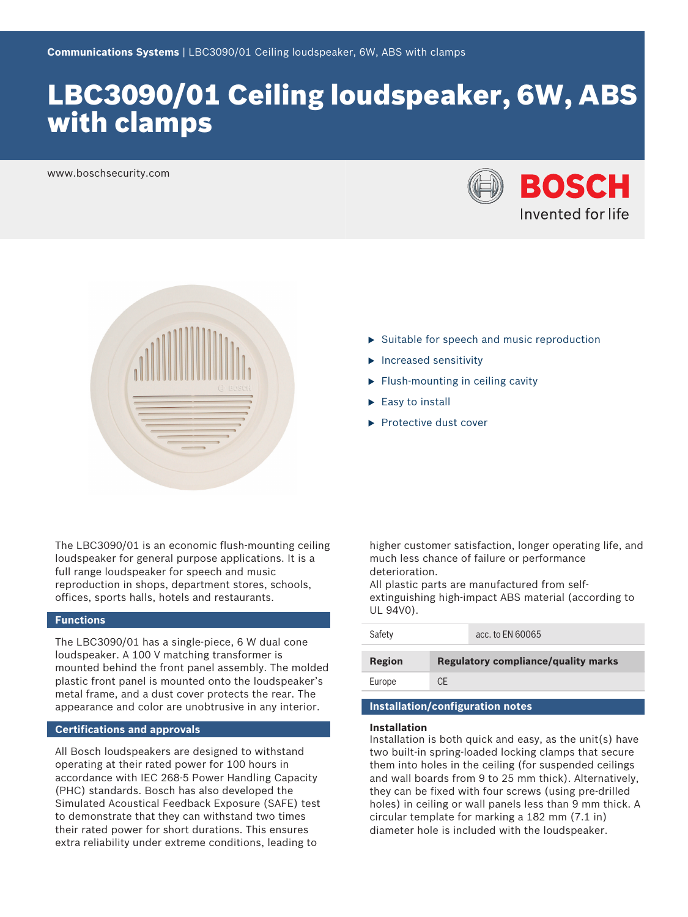# LBC3090/01 Ceiling loudspeaker, 6W, ABS with clamps

www.boschsecurity.com





- $\triangleright$  Suitable for speech and music reproduction
- $\blacktriangleright$  Increased sensitivity
- $\blacktriangleright$  Flush-mounting in ceiling cavity
- $\blacktriangleright$  Easy to install
- $\blacktriangleright$  Protective dust cover

The LBC3090/01 is an economic flush-mounting ceiling loudspeaker for general purpose applications. It is a full range loudspeaker for speech and music reproduction in shops, department stores, schools, offices, sports halls, hotels and restaurants.

#### **Functions**

The LBC3090/01 has a single-piece, 6 W dual cone loudspeaker. A 100 V matching transformer is mounted behind the front panel assembly. The molded plastic front panel is mounted onto the loudspeaker's metal frame, and a dust cover protects the rear. The appearance and color are unobtrusive in any interior.

#### **Certifications and approvals**

All Bosch loudspeakers are designed to withstand operating at their rated power for 100 hours in accordance with IEC 268-5 Power Handling Capacity (PHC) standards. Bosch has also developed the Simulated Acoustical Feedback Exposure (SAFE) test to demonstrate that they can withstand two times their rated power for short durations. This ensures extra reliability under extreme conditions, leading to

higher customer satisfaction, longer operating life, and much less chance of failure or performance deterioration.

All plastic parts are manufactured from selfextinguishing high-impact ABS material (according to UL 94V0).

| Safety | acc. to EN 60065                           |
|--------|--------------------------------------------|
| Region | <b>Regulatory compliance/quality marks</b> |
| Europe | CF                                         |

#### **Installation/configuration notes**

#### **Installation**

Installation is both quick and easy, as the unit(s) have two built-in spring-loaded locking clamps that secure them into holes in the ceiling (for suspended ceilings and wall boards from 9 to 25 mm thick). Alternatively, they can be fixed with four screws (using pre-drilled holes) in ceiling or wall panels less than 9 mm thick. A circular template for marking a 182 mm (7.1 in) diameter hole is included with the loudspeaker.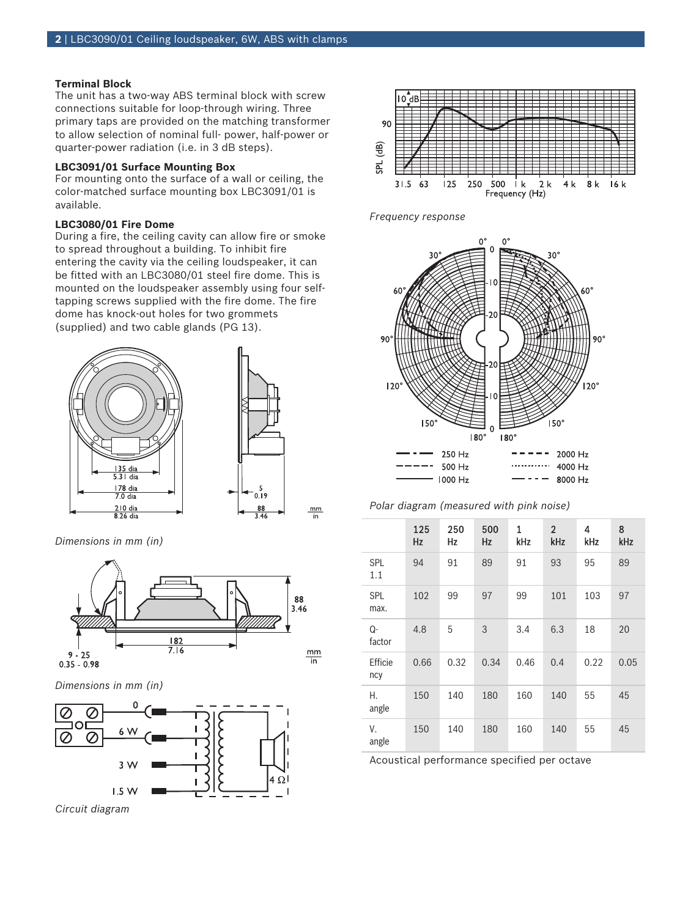#### **Terminal Block**

The unit has a two-way ABS terminal block with screw connections suitable for loop-through wiring. Three primary taps are provided on the matching transformer to allow selection of nominal full- power, half-power or quarter-power radiation (i.e. in 3 dB steps).

#### **LBC3091/01 Surface Mounting Box**

For mounting onto the surface of a wall or ceiling, the color-matched surface mounting box LBC3091/01 is available.

#### **LBC3080/01 Fire Dome**

During a fire, the ceiling cavity can allow fire or smoke to spread throughout a building. To inhibit fire entering the cavity via the ceiling loudspeaker, it can be fitted with an LBC3080/01 steel fire dome. This is mounted on the loudspeaker assembly using four selftapping screws supplied with the fire dome. The fire dome has knock-out holes for two grommets (supplied) and two cable glands (PG 13).



*Dimensions in mm (in)*



*Dimensions in mm (in)*



*Circuit diagram*



*Frequency response*



*Polar diagram (measured with pink noise)*

|                    | 125<br><b>Hz</b> | 250<br>Hz | 500<br>Hz | 1<br>kHz | $\overline{2}$<br>kHz | 4<br>kHz | 8<br>kHz |
|--------------------|------------------|-----------|-----------|----------|-----------------------|----------|----------|
| <b>SPL</b><br>1.1  | 94               | 91        | 89        | 91       | 93                    | 95       | 89       |
| <b>SPL</b><br>max. | 102              | 99        | 97        | 99       | 101                   | 103      | 97       |
| Q-<br>factor       | 4.8              | 5         | 3         | 3.4      | 6.3                   | 18       | 20       |
| Efficie<br>ncy     | 0.66             | 0.32      | 0.34      | 0.46     | 0.4                   | 0.22     | 0.05     |
| Η.<br>angle        | 150              | 140       | 180       | 160      | 140                   | 55       | 45       |
| ٧.<br>angle        | 150              | 140       | 180       | 160      | 140                   | 55       | 45       |

Acoustical performance specified per octave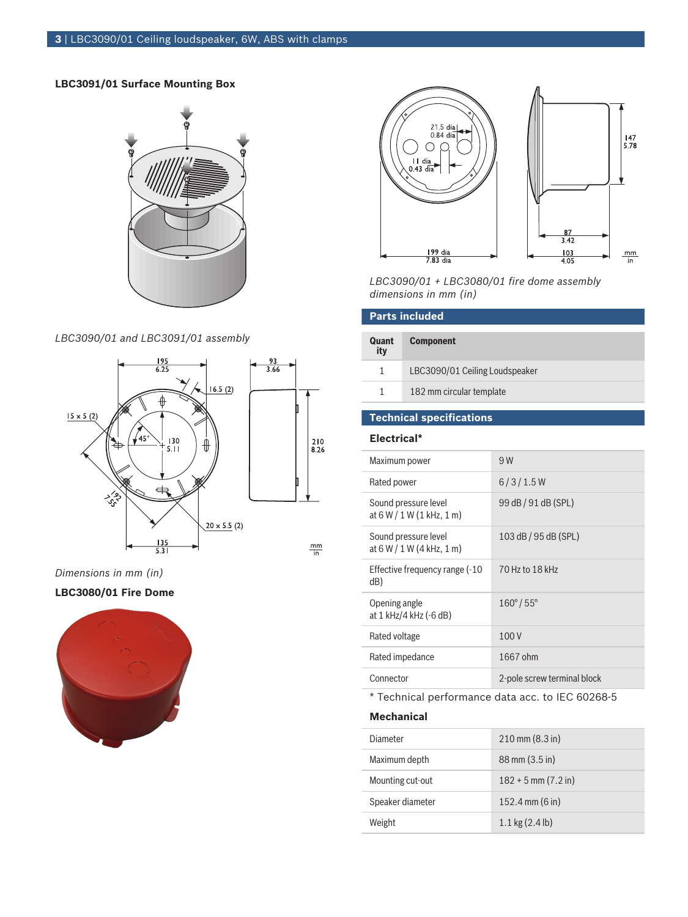#### **LBC3091/01 Surface Mounting Box**



#### *LBC3090/01 and LBC3091/01 assembly*



*Dimensions in mm (in)*

#### **LBC3080/01 Fire Dome**





*LBC3090/01 + LBC3080/01 fire dome assembly dimensions in mm (in)*

| <b>Parts included</b> |                                |  |
|-----------------------|--------------------------------|--|
| Quant<br>ity          | <b>Component</b>               |  |
| 1                     | LBC3090/01 Ceiling Loudspeaker |  |
| 1                     | 182 mm circular template       |  |
|                       | $\sim$                         |  |

### **Technical specifications**

#### **Electrical\***

| Maximum power                                       | 9 W                         |
|-----------------------------------------------------|-----------------------------|
| Rated power                                         | 6/3/1.5W                    |
| Sound pressure level<br>at $6 W / 1 W (1 kHz, 1 m)$ | 99 dB / 91 dB (SPL)         |
| Sound pressure level<br>at $6 W / 1 W (4 kHz, 1 m)$ | 103 dB / 95 dB (SPL)        |
| Effective frequency range (-10<br>dB)               | 70 Hz to 18 kHz             |
| Opening angle<br>at 1 kHz/4 kHz (-6 dB)             | $160^{\circ}/55^{\circ}$    |
| Rated voltage                                       | 100V                        |
| Rated impedance                                     | 1667 ohm                    |
| Connector                                           | 2-pole screw terminal block |
|                                                     |                             |

\* Technical performance data acc. to IEC 60268-5

#### **Mechanical**

| Diameter         | $210 \text{ mm} (8.3 \text{ in})$ |
|------------------|-----------------------------------|
| Maximum depth    | 88 mm (3.5 in)                    |
| Mounting cut-out | $182 + 5$ mm $(7.2$ in)           |
| Speaker diameter | 152.4 mm $(6 \text{ in})$         |
| Weight           | $1.1 \text{ kg} (2.4 \text{ lb})$ |